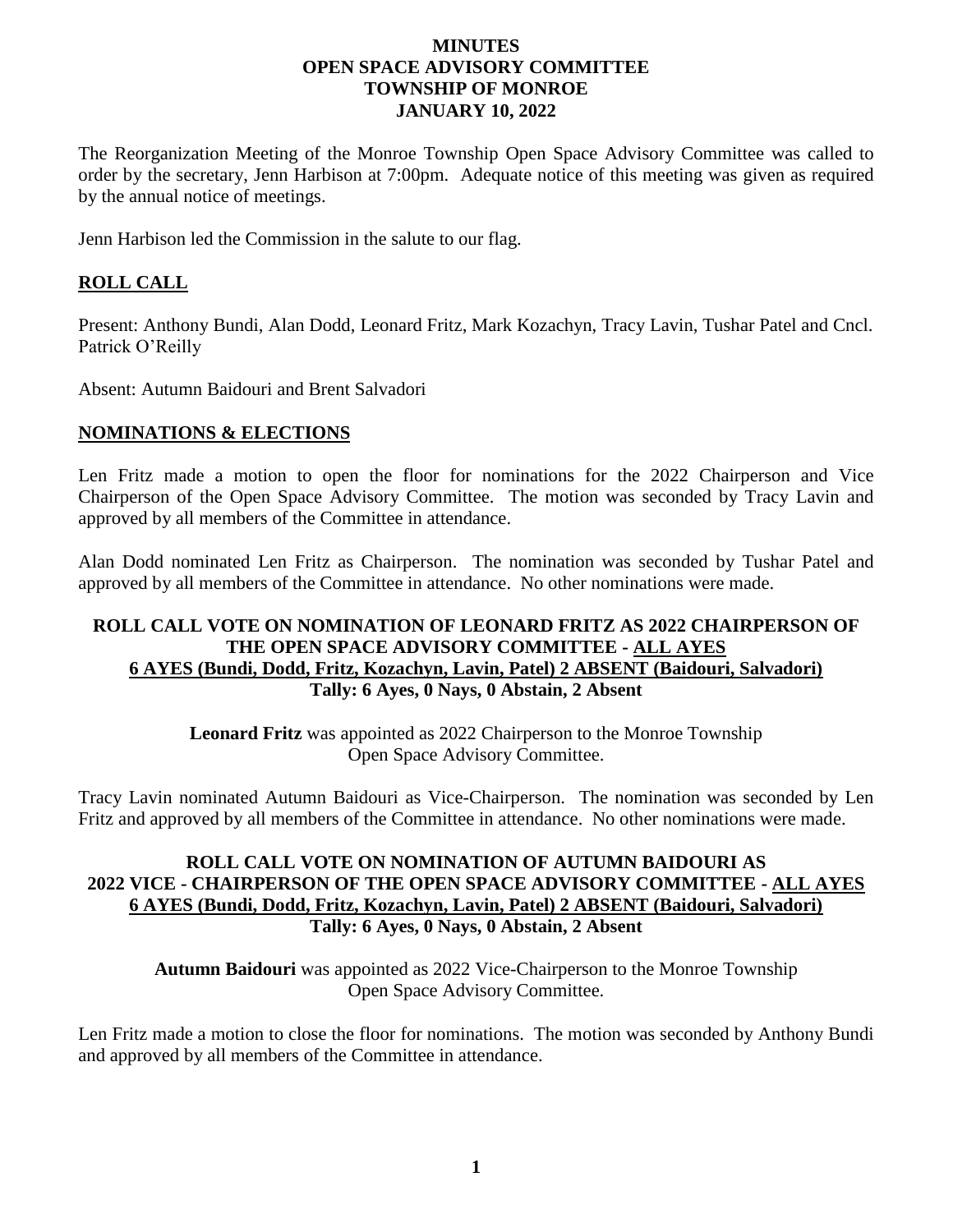### **MINUTES OPEN SPACE ADVISORY COMMITTEE TOWNSHIP OF MONROE JANUARY 10, 2022**

The Reorganization Meeting of the Monroe Township Open Space Advisory Committee was called to order by the secretary, Jenn Harbison at 7:00pm. Adequate notice of this meeting was given as required by the annual notice of meetings.

Jenn Harbison led the Commission in the salute to our flag.

# **ROLL CALL**

Present: Anthony Bundi, Alan Dodd, Leonard Fritz, Mark Kozachyn, Tracy Lavin, Tushar Patel and Cncl. Patrick O'Reilly

Absent: Autumn Baidouri and Brent Salvadori

## **NOMINATIONS & ELECTIONS**

Len Fritz made a motion to open the floor for nominations for the 2022 Chairperson and Vice Chairperson of the Open Space Advisory Committee. The motion was seconded by Tracy Lavin and approved by all members of the Committee in attendance.

Alan Dodd nominated Len Fritz as Chairperson. The nomination was seconded by Tushar Patel and approved by all members of the Committee in attendance. No other nominations were made.

### **ROLL CALL VOTE ON NOMINATION OF LEONARD FRITZ AS 2022 CHAIRPERSON OF THE OPEN SPACE ADVISORY COMMITTEE - ALL AYES 6 AYES (Bundi, Dodd, Fritz, Kozachyn, Lavin, Patel) 2 ABSENT (Baidouri, Salvadori) Tally: 6 Ayes, 0 Nays, 0 Abstain, 2 Absent**

**Leonard Fritz** was appointed as 2022 Chairperson to the Monroe Township Open Space Advisory Committee.

Tracy Lavin nominated Autumn Baidouri as Vice-Chairperson. The nomination was seconded by Len Fritz and approved by all members of the Committee in attendance. No other nominations were made.

## **ROLL CALL VOTE ON NOMINATION OF AUTUMN BAIDOURI AS 2022 VICE - CHAIRPERSON OF THE OPEN SPACE ADVISORY COMMITTEE - ALL AYES 6 AYES (Bundi, Dodd, Fritz, Kozachyn, Lavin, Patel) 2 ABSENT (Baidouri, Salvadori) Tally: 6 Ayes, 0 Nays, 0 Abstain, 2 Absent**

**Autumn Baidouri** was appointed as 2022 Vice-Chairperson to the Monroe Township Open Space Advisory Committee.

Len Fritz made a motion to close the floor for nominations. The motion was seconded by Anthony Bundi and approved by all members of the Committee in attendance.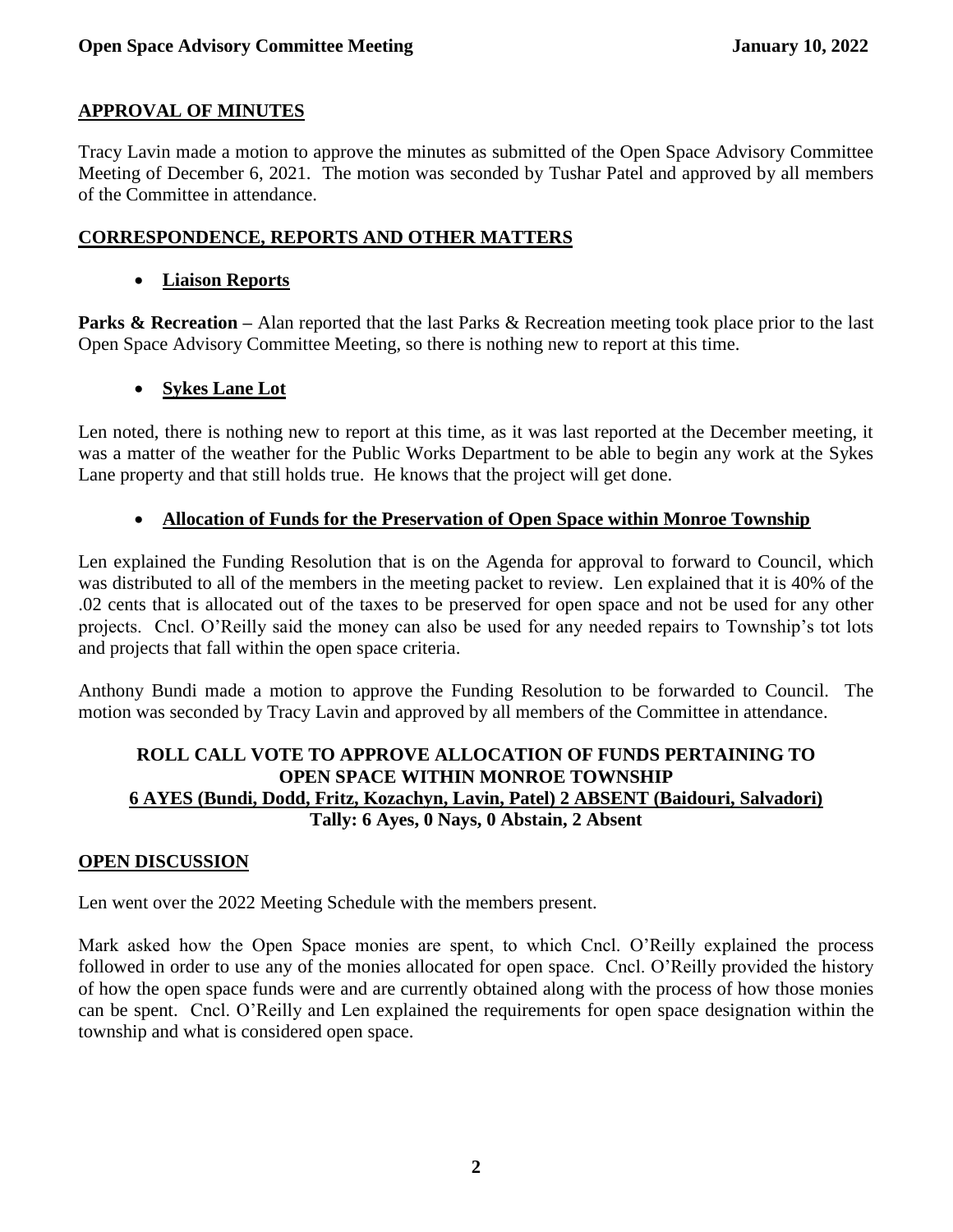# **APPROVAL OF MINUTES**

Tracy Lavin made a motion to approve the minutes as submitted of the Open Space Advisory Committee Meeting of December 6, 2021. The motion was seconded by Tushar Patel and approved by all members of the Committee in attendance.

## **CORRESPONDENCE, REPORTS AND OTHER MATTERS**

## • **Liaison Reports**

**Parks & Recreation** – Alan reported that the last Parks & Recreation meeting took place prior to the last Open Space Advisory Committee Meeting, so there is nothing new to report at this time.

# • **Sykes Lane Lot**

Len noted, there is nothing new to report at this time, as it was last reported at the December meeting, it was a matter of the weather for the Public Works Department to be able to begin any work at the Sykes Lane property and that still holds true. He knows that the project will get done.

# • **Allocation of Funds for the Preservation of Open Space within Monroe Township**

Len explained the Funding Resolution that is on the Agenda for approval to forward to Council, which was distributed to all of the members in the meeting packet to review. Len explained that it is 40% of the .02 cents that is allocated out of the taxes to be preserved for open space and not be used for any other projects. Cncl. O'Reilly said the money can also be used for any needed repairs to Township's tot lots and projects that fall within the open space criteria.

Anthony Bundi made a motion to approve the Funding Resolution to be forwarded to Council. The motion was seconded by Tracy Lavin and approved by all members of the Committee in attendance.

# **ROLL CALL VOTE TO APPROVE ALLOCATION OF FUNDS PERTAINING TO OPEN SPACE WITHIN MONROE TOWNSHIP 6 AYES (Bundi, Dodd, Fritz, Kozachyn, Lavin, Patel) 2 ABSENT (Baidouri, Salvadori) Tally: 6 Ayes, 0 Nays, 0 Abstain, 2 Absent**

## **OPEN DISCUSSION**

Len went over the 2022 Meeting Schedule with the members present.

Mark asked how the Open Space monies are spent, to which Cncl. O'Reilly explained the process followed in order to use any of the monies allocated for open space. Cncl. O'Reilly provided the history of how the open space funds were and are currently obtained along with the process of how those monies can be spent. Cncl. O'Reilly and Len explained the requirements for open space designation within the township and what is considered open space.